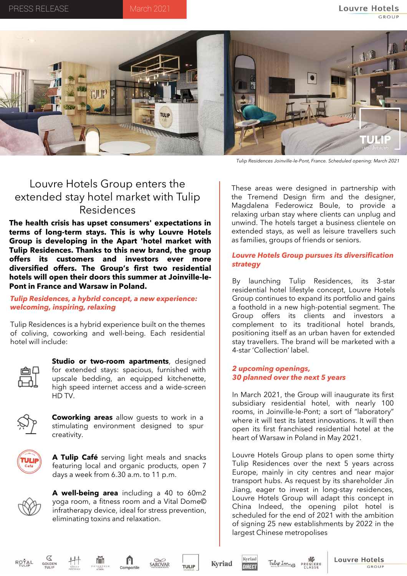

*Tulip Residences Joinville-le-Pont, France. Scheduled opening: March 2021*

# Louvre Hotels Group enters the extended stay hotel market with Tulip Residences

**The health crisis has upset consumers' expectations in terms of long-term stays. This is why Louvre Hotels Group is developing in the Apart 'hotel market with Tulip Residences. Thanks to this new brand, the group offers its customers and investors ever more diversified offers. The Group's first two residential hotels will open their doors this summer at Joinville-le-Pont in France and Warsaw in Poland.**

*Tulip Residences, a hybrid concept, a new experience: welcoming, inspiring, relaxing*

Tulip Residences is a hybrid experience built on the themes of coliving, coworking and well-being. Each residential hotel will include:



**Studio or two-room apartments**, designed for extended stays: spacious, furnished with upscale bedding, an equipped kitchenette, high speed internet access and a wide-screen HD TV.



**Coworking areas** allow guests to work in a stimulating environment designed to spur creativity.



**A Tulip Café** serving light meals and snacks featuring local and organic products, open 7 days a week from 6.30 a.m. to 11 p.m.



**A well-being area** including a 40 to 60m2 yoga room, a fitness room and a Vital Dome© infratherapy device, ideal for stress prevention, eliminating toxins and relaxation.

These areas were designed in partnership with the Tremend Design firm and the designer, Magdalena Federowicz Boule, to provide a relaxing urban stay where clients can unplug and unwind. The hotels target a business clientele on extended stays, as well as leisure travellers such as families, groups of friends or seniors.

# *Louvre Hotels Group pursues its diversification strategy*

By launching Tulip Residences, its 3-star residential hotel lifestyle concept, Louvre Hotels Group continues to expand its portfolio and gains a foothold in a new high-potential segment. The Group offers its clients and investors a complement to its traditional hotel brands, positioning itself as an urban haven for extended stay travellers. The brand will be marketed with a 4-star 'Collection' label.

## *2 upcoming openings, 30 planned over the next 5 years*

In March 2021, the Group will inaugurate its first subsidiary residential hotel, with nearly 100 rooms, in Joinville-le-Pont; a sort of "laboratory" where it will test its latest innovations. It will then open its first franchised residential hotel at the heart of Warsaw in Poland in May 2021.

Louvre Hotels Group plans to open some thirty Tulip Residences over the next 5 years across Europe, mainly in city centres and near major transport hubs. As request by its shareholder Jin Jiang, eager to invest in long-stay residences, Louvre Hotels Group will adapt this concept in China Indeed, the opening pilot hotel is scheduled for the end of 2021 with the ambition of signing 25 new establishments by 2022 in the largest Chinese metropolises





**Kyriad**